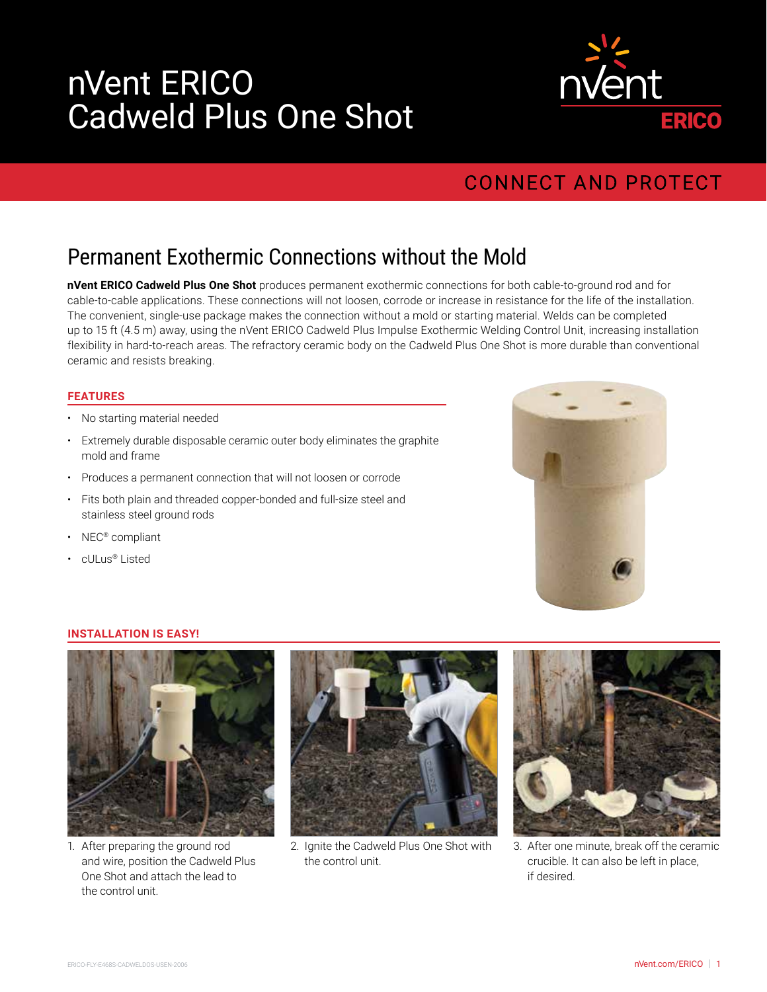# nVent ERICO Cadweld Plus One Shot



## **CONNECT AND PROTECT**

# Permanent Exothermic Connections without the Mold

**nVent ERICO Cadweld Plus One Shot** produces permanent exothermic connections for both cable-to-ground rod and for cable-to-cable applications. These connections will not loosen, corrode or increase in resistance for the life of the installation. The convenient, single-use package makes the connection without a mold or starting material. Welds can be completed up to 15 ft (4.5 m) away, using the nVent ERICO Cadweld Plus Impulse Exothermic Welding Control Unit, increasing installation flexibility in hard-to-reach areas. The refractory ceramic body on the Cadweld Plus One Shot is more durable than conventional ceramic and resists breaking.

### **FEATURES**

- No starting material needed
- Extremely durable disposable ceramic outer body eliminates the graphite mold and frame
- Produces a permanent connection that will not loosen or corrode
- Fits both plain and threaded copper-bonded and full-size steel and stainless steel ground rods
- NEC® compliant
- cULus® Listed



#### **INSTALLATION IS EASY!**



1. After preparing the ground rod and wire, position the Cadweld Plus One Shot and attach the lead to the control unit.



2. Ignite the Cadweld Plus One Shot with the control unit.



3. After one minute, break off the ceramic crucible. It can also be left in place, if desired.